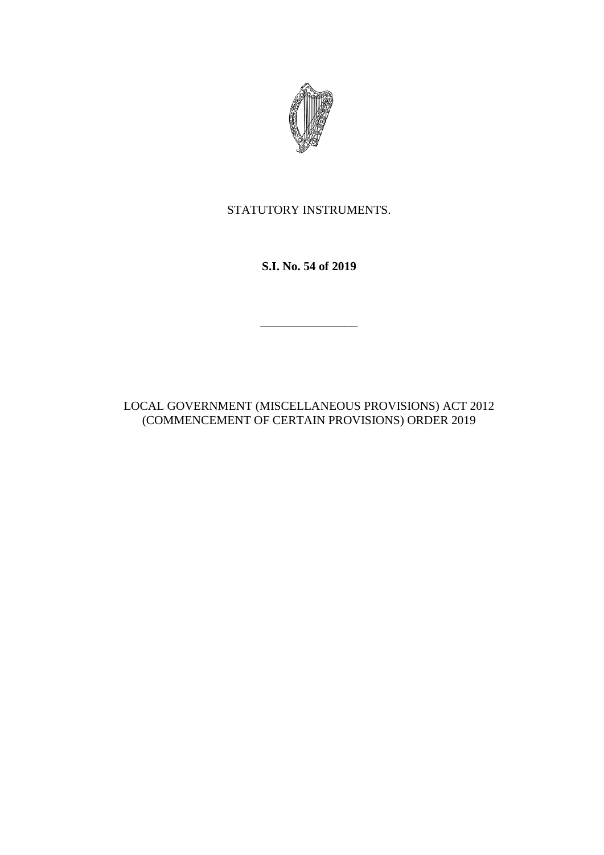

STATUTORY INSTRUMENTS.

**S.I. No. 54 of 2019**

\_\_\_\_\_\_\_\_\_\_\_\_\_\_\_\_

LOCAL GOVERNMENT (MISCELLANEOUS PROVISIONS) ACT 2012 (COMMENCEMENT OF CERTAIN PROVISIONS) ORDER 2019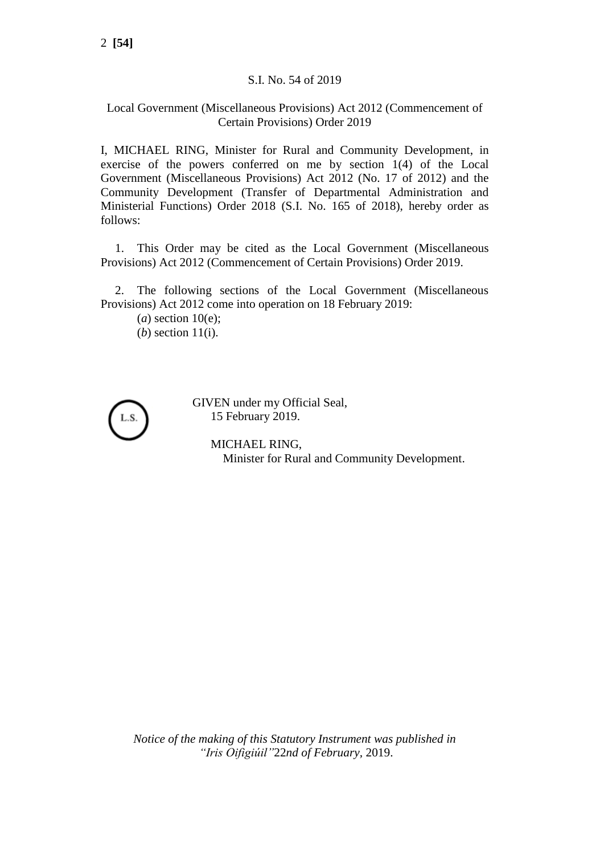## S.I. No. 54 of 2019

## Local Government (Miscellaneous Provisions) Act 2012 (Commencement of Certain Provisions) Order 2019

I, MICHAEL RING, Minister for Rural and Community Development, in exercise of the powers conferred on me by section 1(4) of the Local Government (Miscellaneous Provisions) Act 2012 (No. 17 of 2012) and the Community Development (Transfer of Departmental Administration and Ministerial Functions) Order 2018 (S.I. No. 165 of 2018), hereby order as follows:

1. This Order may be cited as the Local Government (Miscellaneous Provisions) Act 2012 (Commencement of Certain Provisions) Order 2019.

2. The following sections of the Local Government (Miscellaneous Provisions) Act 2012 come into operation on 18 February 2019:

 $(a)$  section 10(e): (*b*) section 11(i).



GIVEN under my Official Seal, 15 February 2019.

> MICHAEL RING, Minister for Rural and Community Development.

*Notice of the making of this Statutory Instrument was published in "Iris Oifigiúil"*22*nd of February,* 2019.